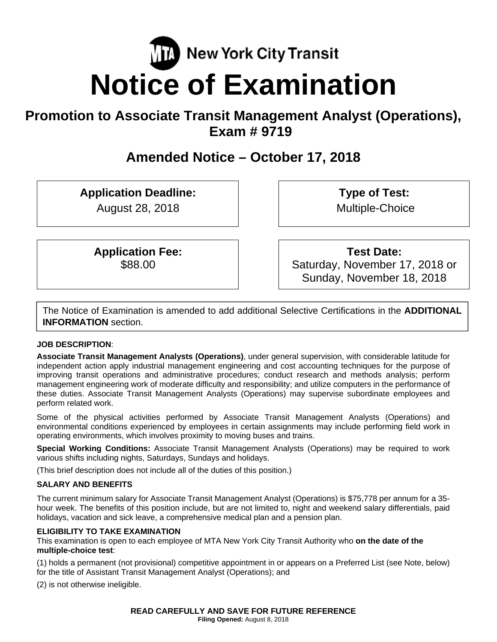# **New York City Transit Notice of Examination**

# **Promotion to Associate Transit Management Analyst (Operations), Exam # 9719**

# **Amended Notice – October 17, 2018**

**Application Deadline:** 

August 28, 2018

**Type of Test:**  Multiple-Choice

**Application Fee:**  \$88.00

**Test Date:**

Saturday, November 17, 2018 or Sunday, November 18, 2018

The Notice of Examination is amended to add additional Selective Certifications in the **ADDITIONAL INFORMATION** section.

# **JOB DESCRIPTION**:

**Associate Transit Management Analysts (Operations)**, under general supervision, with considerable latitude for independent action apply industrial management engineering and cost accounting techniques for the purpose of improving transit operations and administrative procedures; conduct research and methods analysis; perform management engineering work of moderate difficulty and responsibility; and utilize computers in the performance of these duties. Associate Transit Management Analysts (Operations) may supervise subordinate employees and perform related work.

Some of the physical activities performed by Associate Transit Management Analysts (Operations) and environmental conditions experienced by employees in certain assignments may include performing field work in operating environments, which involves proximity to moving buses and trains.

**Special Working Conditions:** Associate Transit Management Analysts (Operations) may be required to work various shifts including nights, Saturdays, Sundays and holidays.

(This brief description does not include all of the duties of this position.)

# **SALARY AND BENEFITS**

The current minimum salary for Associate Transit Management Analyst (Operations) is \$75,778 per annum for a 35 hour week. The benefits of this position include, but are not limited to, night and weekend salary differentials, paid holidays, vacation and sick leave, a comprehensive medical plan and a pension plan.

# **ELIGIBILITY TO TAKE EXAMINATION**

This examination is open to each employee of MTA New York City Transit Authority who **on the date of the multiple-choice test**:

(1) holds a permanent (not provisional) competitive appointment in or appears on a Preferred List (see Note, below) for the title of Assistant Transit Management Analyst (Operations); and

(2) is not otherwise ineligible.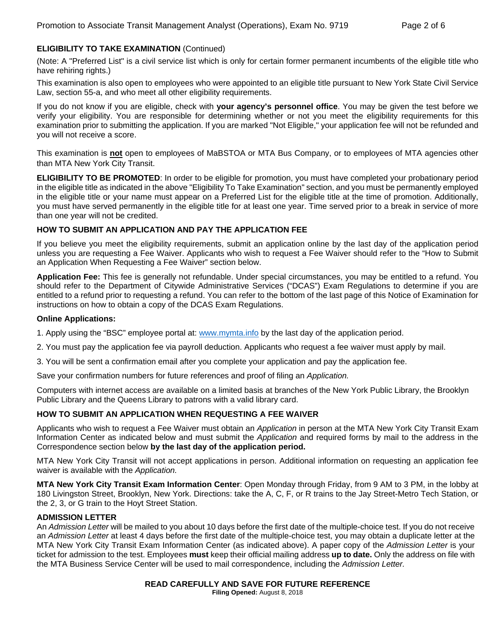# **ELIGIBILITY TO TAKE EXAMINATION** (Continued)

(Note: A "Preferred List" is a civil service list which is only for certain former permanent incumbents of the eligible title who have rehiring rights.)

This examination is also open to employees who were appointed to an eligible title pursuant to New York State Civil Service Law, section 55-a, and who meet all other eligibility requirements.

If you do not know if you are eligible, check with **your agency's personnel office**. You may be given the test before we verify your eligibility. You are responsible for determining whether or not you meet the eligibility requirements for this examination prior to submitting the application. If you are marked "Not Eligible," your application fee will not be refunded and you will not receive a score.

This examination is **not** open to employees of MaBSTOA or MTA Bus Company, or to employees of MTA agencies other than MTA New York City Transit.

**ELIGIBILITY TO BE PROMOTED**: In order to be eligible for promotion, you must have completed your probationary period in the eligible title as indicated in the above "Eligibility To Take Examination" section, and you must be permanently employed in the eligible title or your name must appear on a Preferred List for the eligible title at the time of promotion. Additionally, you must have served permanently in the eligible title for at least one year. Time served prior to a break in service of more than one year will not be credited.

#### **HOW TO SUBMIT AN APPLICATION AND PAY THE APPLICATION FEE**

If you believe you meet the eligibility requirements, submit an application online by the last day of the application period unless you are requesting a Fee Waiver. Applicants who wish to request a Fee Waiver should refer to the "How to Submit an Application When Requesting a Fee Waiver" section below.

**Application Fee:** This fee is generally not refundable. Under special circumstances, you may be entitled to a refund. You should refer to the Department of Citywide Administrative Services ("DCAS") Exam Regulations to determine if you are entitled to a refund prior to requesting a refund. You can refer to the bottom of the last page of this Notice of Examination for instructions on how to obtain a copy of the DCAS Exam Regulations.

#### **Online Applications:**

1. Apply using the "BSC" employee portal at: www.mymta.info by the last day of the application period.

2. You must pay the application fee via payroll deduction. Applicants who request a fee waiver must apply by mail.

3. You will be sent a confirmation email after you complete your application and pay the application fee.

Save your confirmation numbers for future references and proof of filing an *Application.*

Computers with internet access are available on a limited basis at branches of the New York Public Library, the Brooklyn Public Library and the Queens Library to patrons with a valid library card.

#### **HOW TO SUBMIT AN APPLICATION WHEN REQUESTING A FEE WAIVER**

Applicants who wish to request a Fee Waiver must obtain an *Application* in person at the MTA New York City Transit Exam Information Center as indicated below and must submit the *Application* and required forms by mail to the address in the Correspondence section below **by the last day of the application period.** 

MTA New York City Transit will not accept applications in person. Additional information on requesting an application fee waiver is available with the *Application.* 

**MTA New York City Transit Exam Information Center**: Open Monday through Friday, from 9 AM to 3 PM, in the lobby at 180 Livingston Street, Brooklyn, New York. Directions: take the A, C, F, or R trains to the Jay Street-Metro Tech Station, or the 2, 3, or G train to the Hoyt Street Station.

#### **ADMISSION LETTER**

An *Admission Letter* will be mailed to you about 10 days before the first date of the multiple-choice test. If you do not receive an *Admission Letter* at least 4 days before the first date of the multiple-choice test, you may obtain a duplicate letter at the MTA New York City Transit Exam Information Center (as indicated above). A paper copy of the *Admission Letter* is your ticket for admission to the test. Employees **must** keep their official mailing address **up to date.** Only the address on file with the MTA Business Service Center will be used to mail correspondence, including the *Admission Letter.*

# **READ CAREFULLY AND SAVE FOR FUTURE REFERENCE**

**Filing Opened:** August 8, 2018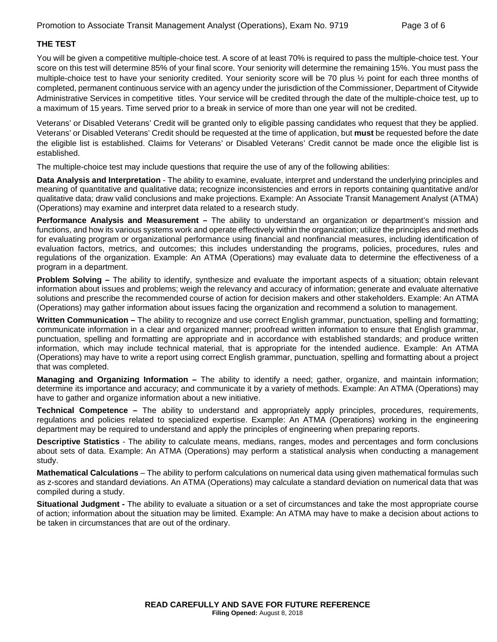# **THE TEST**

You will be given a competitive multiple-choice test. A score of at least 70% is required to pass the multiple-choice test. Your score on this test will determine 85% of your final score. Your seniority will determine the remaining 15%. You must pass the multiple-choice test to have your seniority credited. Your seniority score will be 70 plus ½ point for each three months of completed, permanent continuous service with an agency under the jurisdiction of the Commissioner, Department of Citywide Administrative Services in competitive titles. Your service will be credited through the date of the multiple-choice test, up to a maximum of 15 years. Time served prior to a break in service of more than one year will not be credited.

Veterans' or Disabled Veterans' Credit will be granted only to eligible passing candidates who request that they be applied. Veterans' or Disabled Veterans' Credit should be requested at the time of application, but **must** be requested before the date the eligible list is established. Claims for Veterans' or Disabled Veterans' Credit cannot be made once the eligible list is established.

The multiple-choice test may include questions that require the use of any of the following abilities:

**Data Analysis and Interpretation** - The ability to examine, evaluate, interpret and understand the underlying principles and meaning of quantitative and qualitative data; recognize inconsistencies and errors in reports containing quantitative and/or qualitative data; draw valid conclusions and make projections. Example: An Associate Transit Management Analyst (ATMA) (Operations) may examine and interpret data related to a research study.

**Performance Analysis and Measurement –** The ability to understand an organization or department's mission and functions, and how its various systems work and operate effectively within the organization; utilize the principles and methods for evaluating program or organizational performance using financial and nonfinancial measures, including identification of evaluation factors, metrics, and outcomes; this includes understanding the programs, policies, procedures, rules and regulations of the organization. Example: An ATMA (Operations) may evaluate data to determine the effectiveness of a program in a department.

**Problem Solving –** The ability to identify, synthesize and evaluate the important aspects of a situation; obtain relevant information about issues and problems; weigh the relevancy and accuracy of information; generate and evaluate alternative solutions and prescribe the recommended course of action for decision makers and other stakeholders. Example: An ATMA (Operations) may gather information about issues facing the organization and recommend a solution to management.

**Written Communication –** The ability to recognize and use correct English grammar, punctuation, spelling and formatting; communicate information in a clear and organized manner; proofread written information to ensure that English grammar, punctuation, spelling and formatting are appropriate and in accordance with established standards; and produce written information, which may include technical material, that is appropriate for the intended audience. Example: An ATMA (Operations) may have to write a report using correct English grammar, punctuation, spelling and formatting about a project that was completed.

**Managing and Organizing Information –** The ability to identify a need; gather, organize, and maintain information; determine its importance and accuracy; and communicate it by a variety of methods. Example: An ATMA (Operations) may have to gather and organize information about a new initiative.

**Technical Competence –** The ability to understand and appropriately apply principles, procedures, requirements, regulations and policies related to specialized expertise. Example: An ATMA (Operations) working in the engineering department may be required to understand and apply the principles of engineering when preparing reports.

**Descriptive Statistics** - The ability to calculate means, medians, ranges, modes and percentages and form conclusions about sets of data. Example: An ATMA (Operations) may perform a statistical analysis when conducting a management study.

**Mathematical Calculations** – The ability to perform calculations on numerical data using given mathematical formulas such as z-scores and standard deviations. An ATMA (Operations) may calculate a standard deviation on numerical data that was compiled during a study.

**Situational Judgment -** The ability to evaluate a situation or a set of circumstances and take the most appropriate course of action; information about the situation may be limited. Example: An ATMA may have to make a decision about actions to be taken in circumstances that are out of the ordinary.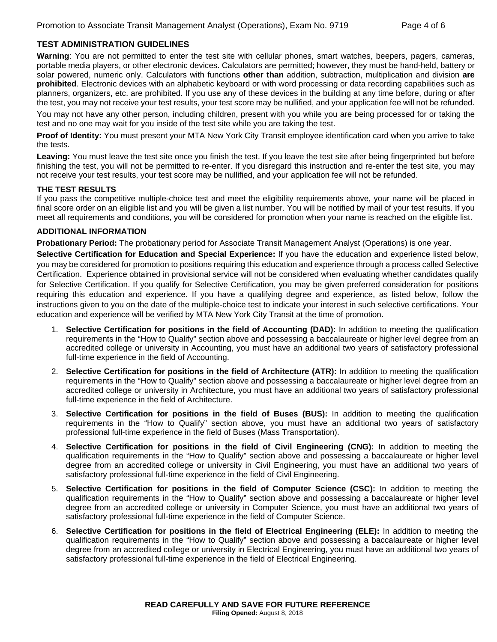# **TEST ADMINISTRATION GUIDELINES**

**Warning**: You are not permitted to enter the test site with cellular phones, smart watches, beepers, pagers, cameras, portable media players, or other electronic devices. Calculators are permitted; however, they must be hand-held, battery or solar powered, numeric only. Calculators with functions **other than** addition, subtraction, multiplication and division **are prohibited**. Electronic devices with an alphabetic keyboard or with word processing or data recording capabilities such as planners, organizers, etc. are prohibited. If you use any of these devices in the building at any time before, during or after the test, you may not receive your test results, your test score may be nullified, and your application fee will not be refunded.

You may not have any other person, including children, present with you while you are being processed for or taking the test and no one may wait for you inside of the test site while you are taking the test.

**Proof of Identity:** You must present your MTA New York City Transit employee identification card when you arrive to take the tests.

**Leaving:** You must leave the test site once you finish the test. If you leave the test site after being fingerprinted but before finishing the test, you will not be permitted to re-enter. If you disregard this instruction and re-enter the test site, you may not receive your test results, your test score may be nullified, and your application fee will not be refunded.

#### **THE TEST RESULTS**

If you pass the competitive multiple-choice test and meet the eligibility requirements above, your name will be placed in final score order on an eligible list and you will be given a list number. You will be notified by mail of your test results. If you meet all requirements and conditions, you will be considered for promotion when your name is reached on the eligible list.

#### **ADDITIONAL INFORMATION**

**Probationary Period:** The probationary period for Associate Transit Management Analyst (Operations) is one year.

**Selective Certification for Education and Special Experience:** If you have the education and experience listed below, you may be considered for promotion to positions requiring this education and experience through a process called Selective Certification. Experience obtained in provisional service will not be considered when evaluating whether candidates qualify for Selective Certification. If you qualify for Selective Certification, you may be given preferred consideration for positions requiring this education and experience. If you have a qualifying degree and experience, as listed below, follow the instructions given to you on the date of the multiple-choice test to indicate your interest in such selective certifications. Your education and experience will be verified by MTA New York City Transit at the time of promotion.

- 1. **Selective Certification for positions in the field of Accounting (DAD):** In addition to meeting the qualification requirements in the "How to Qualify" section above and possessing a baccalaureate or higher level degree from an accredited college or university in Accounting, you must have an additional two years of satisfactory professional full-time experience in the field of Accounting.
- 2. **Selective Certification for positions in the field of Architecture (ATR):** In addition to meeting the qualification requirements in the "How to Qualify" section above and possessing a baccalaureate or higher level degree from an accredited college or university in Architecture, you must have an additional two years of satisfactory professional full-time experience in the field of Architecture.
- 3. **Selective Certification for positions in the field of Buses (BUS):** In addition to meeting the qualification requirements in the "How to Qualify" section above, you must have an additional two years of satisfactory professional full-time experience in the field of Buses (Mass Transportation).
- 4. **Selective Certification for positions in the field of Civil Engineering (CNG):** In addition to meeting the qualification requirements in the "How to Qualify" section above and possessing a baccalaureate or higher level degree from an accredited college or university in Civil Engineering, you must have an additional two years of satisfactory professional full-time experience in the field of Civil Engineering.
- 5. **Selective Certification for positions in the field of Computer Science (CSC):** In addition to meeting the qualification requirements in the "How to Qualify" section above and possessing a baccalaureate or higher level degree from an accredited college or university in Computer Science, you must have an additional two years of satisfactory professional full-time experience in the field of Computer Science.
- 6. **Selective Certification for positions in the field of Electrical Engineering (ELE):** In addition to meeting the qualification requirements in the "How to Qualify" section above and possessing a baccalaureate or higher level degree from an accredited college or university in Electrical Engineering, you must have an additional two years of satisfactory professional full-time experience in the field of Electrical Engineering.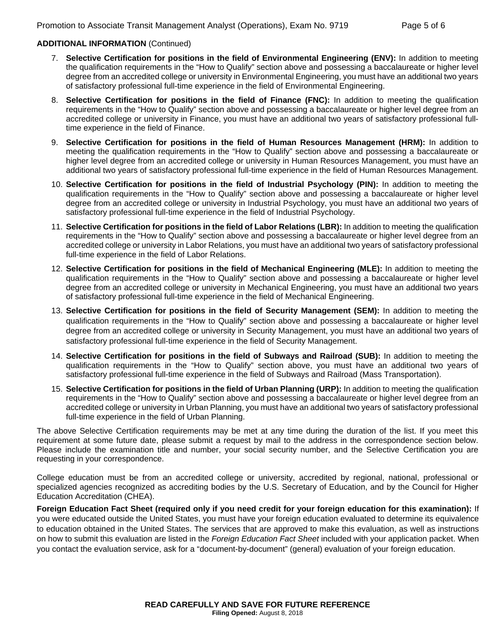#### **ADDITIONAL INFORMATION** (Continued)

- 7. **Selective Certification for positions in the field of Environmental Engineering (ENV):** In addition to meeting the qualification requirements in the "How to Qualify" section above and possessing a baccalaureate or higher level degree from an accredited college or university in Environmental Engineering, you must have an additional two years of satisfactory professional full-time experience in the field of Environmental Engineering.
- 8. **Selective Certification for positions in the field of Finance (FNC):** In addition to meeting the qualification requirements in the "How to Qualify" section above and possessing a baccalaureate or higher level degree from an accredited college or university in Finance, you must have an additional two years of satisfactory professional fulltime experience in the field of Finance.
- 9. **Selective Certification for positions in the field of Human Resources Management (HRM):** In addition to meeting the qualification requirements in the "How to Qualify" section above and possessing a baccalaureate or higher level degree from an accredited college or university in Human Resources Management, you must have an additional two years of satisfactory professional full-time experience in the field of Human Resources Management.
- 10. **Selective Certification for positions in the field of Industrial Psychology (PIN):** In addition to meeting the qualification requirements in the "How to Qualify" section above and possessing a baccalaureate or higher level degree from an accredited college or university in Industrial Psychology, you must have an additional two years of satisfactory professional full-time experience in the field of Industrial Psychology.
- 11. **Selective Certification for positions in the field of Labor Relations (LBR):** In addition to meeting the qualification requirements in the "How to Qualify" section above and possessing a baccalaureate or higher level degree from an accredited college or university in Labor Relations, you must have an additional two years of satisfactory professional full-time experience in the field of Labor Relations.
- 12. **Selective Certification for positions in the field of Mechanical Engineering (MLE):** In addition to meeting the qualification requirements in the "How to Qualify" section above and possessing a baccalaureate or higher level degree from an accredited college or university in Mechanical Engineering, you must have an additional two years of satisfactory professional full-time experience in the field of Mechanical Engineering.
- 13. **Selective Certification for positions in the field of Security Management (SEM):** In addition to meeting the qualification requirements in the "How to Qualify" section above and possessing a baccalaureate or higher level degree from an accredited college or university in Security Management, you must have an additional two years of satisfactory professional full-time experience in the field of Security Management.
- 14. **Selective Certification for positions in the field of Subways and Railroad (SUB):** In addition to meeting the qualification requirements in the "How to Qualify" section above, you must have an additional two years of satisfactory professional full-time experience in the field of Subways and Railroad (Mass Transportation).
- 15. **Selective Certification for positions in the field of Urban Planning (URP):** In addition to meeting the qualification requirements in the "How to Qualify" section above and possessing a baccalaureate or higher level degree from an accredited college or university in Urban Planning, you must have an additional two years of satisfactory professional full-time experience in the field of Urban Planning.

The above Selective Certification requirements may be met at any time during the duration of the list. If you meet this requirement at some future date, please submit a request by mail to the address in the correspondence section below. Please include the examination title and number, your social security number, and the Selective Certification you are requesting in your correspondence.

College education must be from an accredited college or university, accredited by regional, national, professional or specialized agencies recognized as accrediting bodies by the U.S. Secretary of Education, and by the Council for Higher Education Accreditation (CHEA).

**Foreign Education Fact Sheet (required only if you need credit for your foreign education for this examination):** If you were educated outside the United States, you must have your foreign education evaluated to determine its equivalence to education obtained in the United States. The services that are approved to make this evaluation, as well as instructions on how to submit this evaluation are listed in the *Foreign Education Fact Sheet* included with your application packet. When you contact the evaluation service, ask for a "document-by-document" (general) evaluation of your foreign education.